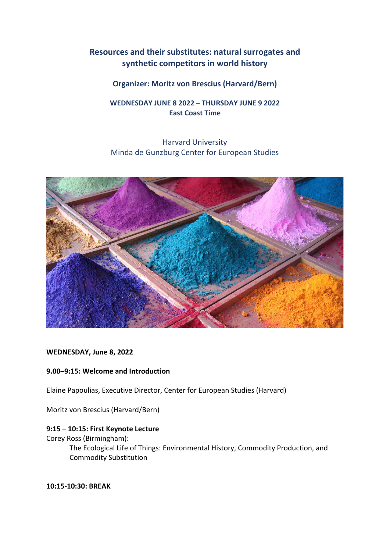# **Resources and their substitutes: natural surrogates and synthetic competitors in world history**

# **Organizer: Moritz von Brescius (Harvard/Bern)**

# **WEDNESDAY JUNE 8 2022 – THURSDAY JUNE 9 2022 East Coast Time**

# Harvard University Minda de Gunzburg Center for European Studies



## **WEDNESDAY, June 8, 2022**

# **9.00–9:15: Welcome and Introduction**

Elaine Papoulias, Executive Director, Center for European Studies (Harvard)

Moritz von Brescius (Harvard/Bern)

# **9:15 – 10:15: First Keynote Lecture**

## Corey Ross (Birmingham):

The Ecological Life of Things: Environmental History, Commodity Production, and Commodity Substitution

**10:15-10:30: BREAK**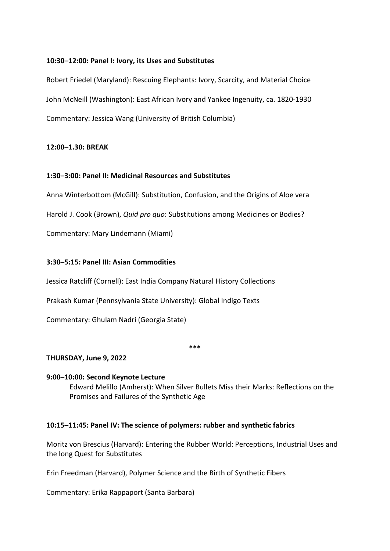## **10:30–12:00: Panel I: Ivory, its Uses and Substitutes**

Robert Friedel (Maryland): Rescuing Elephants: Ivory, Scarcity, and Material Choice John McNeill (Washington): East African Ivory and Yankee Ingenuity, ca. 1820-1930 Commentary: Jessica Wang (University of British Columbia)

# **12:00**–**1.30: BREAK**

# **1:30–3:00: Panel II: Medicinal Resources and Substitutes**

Anna Winterbottom (McGill): Substitution, Confusion, and the Origins of Aloe vera

Harold J. Cook (Brown), *Quid pro quo*: Substitutions among Medicines or Bodies?

Commentary: Mary Lindemann (Miami)

# **3:30–5:15: Panel III: Asian Commodities**

Jessica Ratcliff (Cornell): East India Company Natural History Collections

Prakash Kumar (Pennsylvania State University): Global Indigo Texts

Commentary: Ghulam Nadri (Georgia State)

#### **\*\*\***

## **THURSDAY, June 9, 2022**

## **9:00–10:00: Second Keynote Lecture**

Edward Melillo (Amherst): When Silver Bullets Miss their Marks: Reflections on the Promises and Failures of the Synthetic Age

## **10:15–11:45: Panel IV: The science of polymers: rubber and synthetic fabrics**

Moritz von Brescius (Harvard): Entering the Rubber World: Perceptions, Industrial Uses and the long Quest for Substitutes

Erin Freedman (Harvard), Polymer Science and the Birth of Synthetic Fibers

Commentary: Erika Rappaport (Santa Barbara)